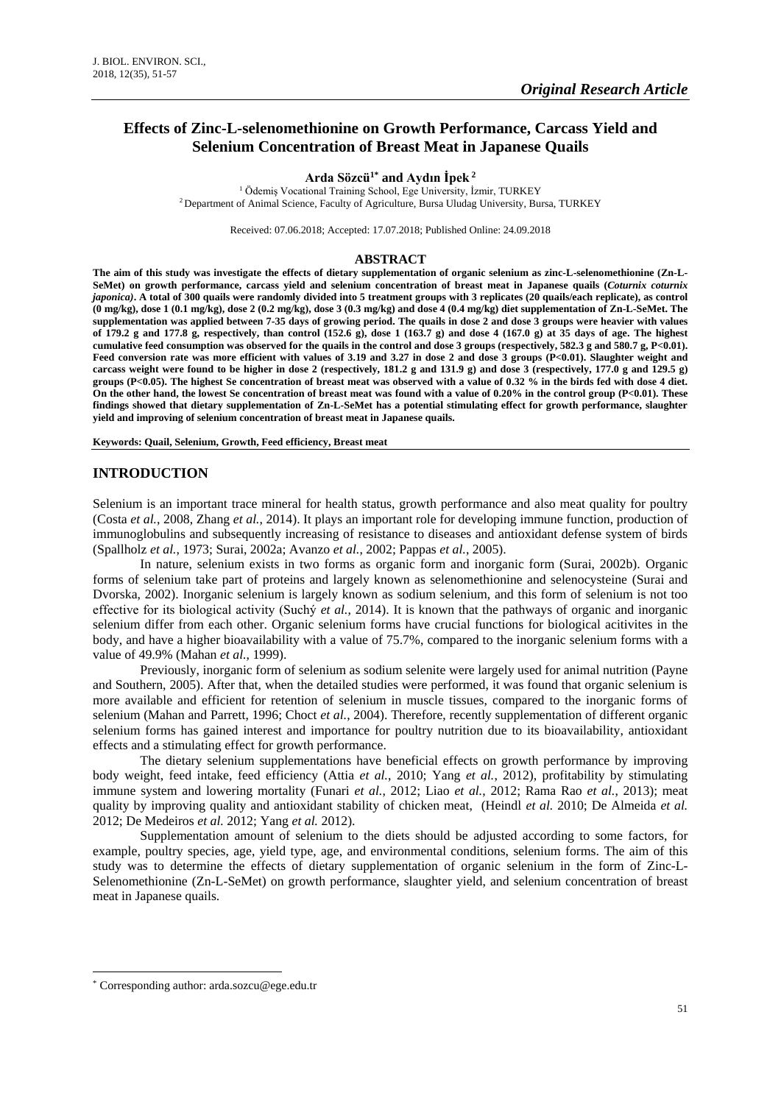# **Effects of Zinc-L-selenomethionine on Growth Performance, Carcass Yield and Selenium Concentration of Breast Meat in Japanese Quails**

#### **Arda Sözcü1\* and Aydın İpek <sup>2</sup>**

<sup>1</sup> Ödemiş Vocational Training School, Ege University, İzmir, TURKEY <sup>2</sup> Department of Animal Science, Faculty of Agriculture, Bursa Uludag University, Bursa, TURKEY

Received: 07.06.2018; Accepted: 17.07.2018; Published Online: 24.09.2018

#### **ABSTRACT**

**The aim of this study was investigate the effects of dietary supplementation of organic selenium as zinc-L-selenomethionine (Zn-L-SeMet) on growth performance, carcass yield and selenium concentration of breast meat in Japanese quails (***Coturnix coturnix japonica)***. A total of 300 quails were randomly divided into 5 treatment groups with 3 replicates (20 quails/each replicate), as control (0 mg/kg), dose 1 (0.1 mg/kg), dose 2 (0.2 mg/kg), dose 3 (0.3 mg/kg) and dose 4 (0.4 mg/kg) diet supplementation of Zn-L-SeMet. The supplementation was applied between 7-35 days of growing period. The quails in dose 2 and dose 3 groups were heavier with values of 179.2 g and 177.8 g, respectively, than control (152.6 g), dose 1 (163.7 g) and dose 4 (167.0 g) at 35 days of age. The highest cumulative feed consumption was observed for the quails in the control and dose 3 groups (respectively, 582.3 g and 580.7 g, P<0.01).**  Feed conversion rate was more efficient with values of 3.19 and 3.27 in dose 2 and dose 3 groups (P<0.01). Slaughter weight and **carcass weight were found to be higher in dose 2 (respectively, 181.2 g and 131.9 g) and dose 3 (respectively, 177.0 g and 129.5 g) groups (P<0.05). The highest Se concentration of breast meat was observed with a value of 0.32 % in the birds fed with dose 4 diet. On the other hand, the lowest Se concentration of breast meat was found with a value of 0.20% in the control group (P<0.01). These findings showed that dietary supplementation of Zn-L-SeMet has a potential stimulating effect for growth performance, slaughter yield and improving of selenium concentration of breast meat in Japanese quails.**

**Keywords: Quail, Selenium, Growth, Feed efficiency, Breast meat**

### **INTRODUCTION**

Selenium is an important trace mineral for health status, growth performance and also meat quality for poultry (Costa *et al.*, 2008, Zhang *et al.*, 2014). It plays an important role for developing immune function, production of immunoglobulins and subsequently increasing of resistance to diseases and antioxidant defense system of birds (Spallholz *et al.*, 1973; Surai, 2002a; Avanzo *et al.*, 2002; Pappas *et al.*, 2005).

In nature, selenium exists in two forms as organic form and inorganic form (Surai, 2002b). Organic forms of selenium take part of proteins and largely known as selenomethionine and selenocysteine (Surai and Dvorska, 2002). Inorganic selenium is largely known as sodium selenium, and this form of selenium is not too effective for its biological activity (Suchý *et al.*, 2014). It is known that the pathways of organic and inorganic selenium differ from each other. Organic selenium forms have crucial functions for biological acitivites in the body, and have a higher bioavailability with a value of 75.7%, compared to the inorganic selenium forms with a value of 49.9% (Mahan *et al.*, 1999).

Previously, inorganic form of selenium as sodium selenite were largely used for animal nutrition (Payne and Southern, 2005). After that, when the detailed studies were performed, it was found that organic selenium is more available and efficient for retention of selenium in muscle tissues, compared to the inorganic forms of selenium (Mahan and Parrett, 1996; Choct *et al.*, 2004). Therefore, recently supplementation of different organic selenium forms has gained interest and importance for poultry nutrition due to its bioavailability, antioxidant effects and a stimulating effect for growth performance.

The dietary selenium supplementations have beneficial effects on growth performance by improving body weight, feed intake, feed efficiency (Attia *et al.*, 2010; Yang *et al.*, 2012), profitability by stimulating immune system and lowering mortality (Funari *et al.*, 2012; Liao *et al.*, 2012; Rama Rao *et al.*, 2013); meat quality by improving quality and antioxidant stability of chicken meat, (Heindl *et al.* 2010; De Almeida *et al.* 2012; De Medeiros *et al.* 2012; Yang *et al.* 2012).

Supplementation amount of selenium to the diets should be adjusted according to some factors, for example, poultry species, age, yield type, age, and environmental conditions, selenium forms. The aim of this study was to determine the effects of dietary supplementation of organic selenium in the form of Zinc-L-Selenomethionine (Zn-L-SeMet) on growth performance, slaughter yield, and selenium concentration of breast meat in Japanese quails.

1

<sup>\*</sup> Corresponding author: arda.sozcu@ege.edu.tr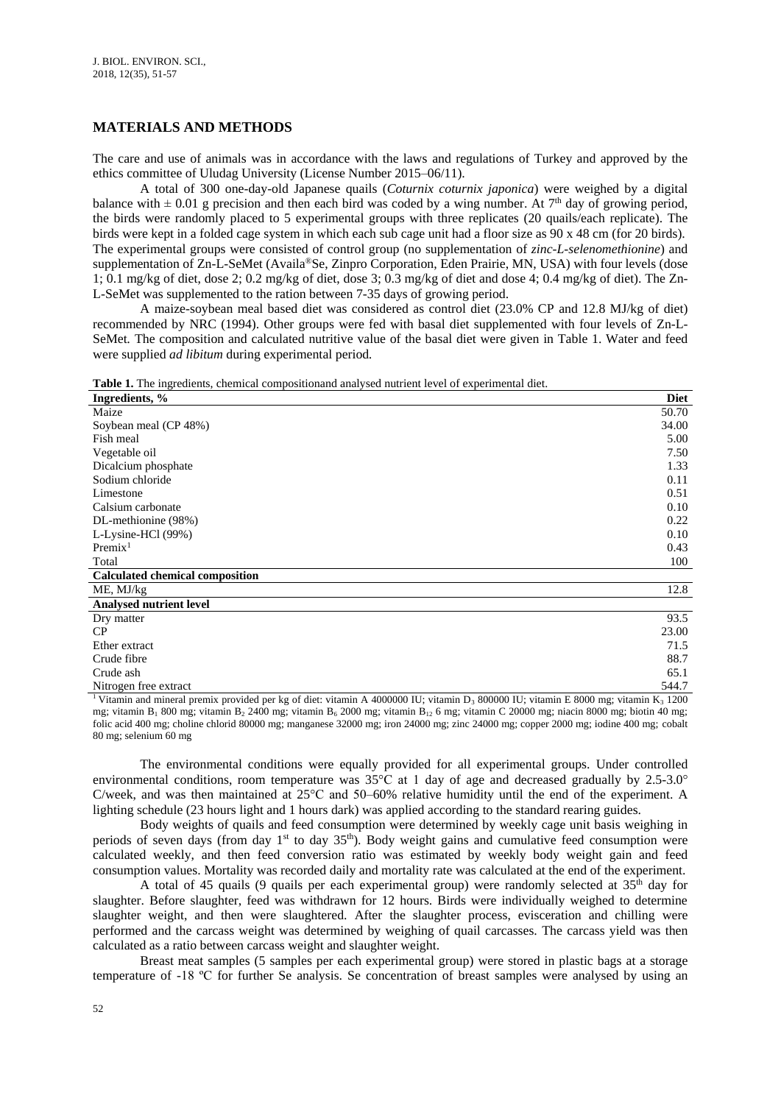## **MATERIALS AND METHODS**

The care and use of animals was in accordance with the laws and regulations of Turkey and approved by the ethics committee of Uludag University (License Number 2015–06/11).

A total of 300 one-day-old Japanese quails (*Coturnix coturnix japonica*) were weighed by a digital balance with  $\pm$  0.01 g precision and then each bird was coded by a wing number. At 7<sup>th</sup> day of growing period, the birds were randomly placed to 5 experimental groups with three replicates (20 quails/each replicate). The birds were kept in a folded cage system in which each sub cage unit had a floor size as 90 x 48 cm (for 20 birds). The experimental groups were consisted of control group (no supplementation of *zinc-L-selenomethionine*) and supplementation of Zn-L-SeMet (Availa®Se, Zinpro Corporation, Eden Prairie, MN, USA) with four levels (dose 1; 0.1 mg/kg of diet, dose 2; 0.2 mg/kg of diet, dose 3; 0.3 mg/kg of diet and dose 4; 0.4 mg/kg of diet). The Zn-L-SeMet was supplemented to the ration between 7-35 days of growing period.

A maize-soybean meal based diet was considered as control diet (23.0% CP and 12.8 MJ/kg of diet) recommended by NRC (1994). Other groups were fed with basal diet supplemented with four levels of Zn-L-SeMet*.* The composition and calculated nutritive value of the basal diet were given in Table 1. Water and feed were supplied *ad libitum* during experimental period*.*

**Table 1.** The ingredients, chemical compositionand analysed nutrient level of experimental diet.

| Ingredients, %                         | <b>Diet</b> |
|----------------------------------------|-------------|
| Maize                                  | 50.70       |
| Soybean meal (CP 48%)                  | 34.00       |
| Fish meal                              | 5.00        |
| Vegetable oil                          | 7.50        |
| Dicalcium phosphate                    | 1.33        |
| Sodium chloride                        | 0.11        |
| Limestone                              | 0.51        |
| Calsium carbonate                      | 0.10        |
| DL-methionine (98%)                    | 0.22        |
| L-Lysine-HCl (99%)                     | 0.10        |
| Premix <sup>1</sup>                    | 0.43        |
| Total                                  | 100         |
| <b>Calculated chemical composition</b> |             |
| ME, MJ/kg                              | 12.8        |
| <b>Analysed nutrient level</b>         |             |
| Dry matter                             | 93.5        |
| CP                                     | 23.00       |
| Ether extract                          | 71.5        |
| Crude fibre                            | 88.7        |
| Crude ash                              | 65.1        |
| Nitrogen free extract                  | 544.7       |

<sup>1</sup> Vitamin and mineral premix provided per kg of diet: vitamin A 4000000 IU; vitamin D<sub>3</sub> 800000 IU; vitamin E 8000 mg; vitamin K<sub>3</sub> 1200 mg; vitamin B<sub>1</sub> 800 mg; vitamin B<sub>2</sub> 2400 mg; vitamin B<sub>6</sub> 2000 mg; vitamin B<sub>12</sub> 6 mg; vitamin C 20000 mg; niacin 8000 mg; biotin 40 mg; folic acid 400 mg; choline chlorid 80000 mg; manganese 32000 mg; iron 24000 mg; zinc 24000 mg; copper 2000 mg; iodine 400 mg; cobalt 80 mg; selenium 60 mg

The environmental conditions were equally provided for all experimental groups. Under controlled environmental conditions, room temperature was 35°C at 1 day of age and decreased gradually by 2.5-3.0° C/week, and was then maintained at 25°C and 50–60% relative humidity until the end of the experiment. A lighting schedule (23 hours light and 1 hours dark) was applied according to the standard rearing guides.

Body weights of quails and feed consumption were determined by weekly cage unit basis weighing in periods of seven days (from day 1<sup>st</sup> to day 35<sup>th</sup>). Body weight gains and cumulative feed consumption were calculated weekly, and then feed conversion ratio was estimated by weekly body weight gain and feed consumption values. Mortality was recorded daily and mortality rate was calculated at the end of the experiment.

A total of 45 quails (9 quails per each experimental group) were randomly selected at  $35<sup>th</sup>$  day for slaughter. Before slaughter, feed was withdrawn for 12 hours. Birds were individually weighed to determine slaughter weight, and then were slaughtered. After the slaughter process, evisceration and chilling were performed and the carcass weight was determined by weighing of quail carcasses. The carcass yield was then calculated as a ratio between carcass weight and slaughter weight.

Breast meat samples (5 samples per each experimental group) were stored in plastic bags at a storage temperature of -18 ºC for further Se analysis. Se concentration of breast samples were analysed by using an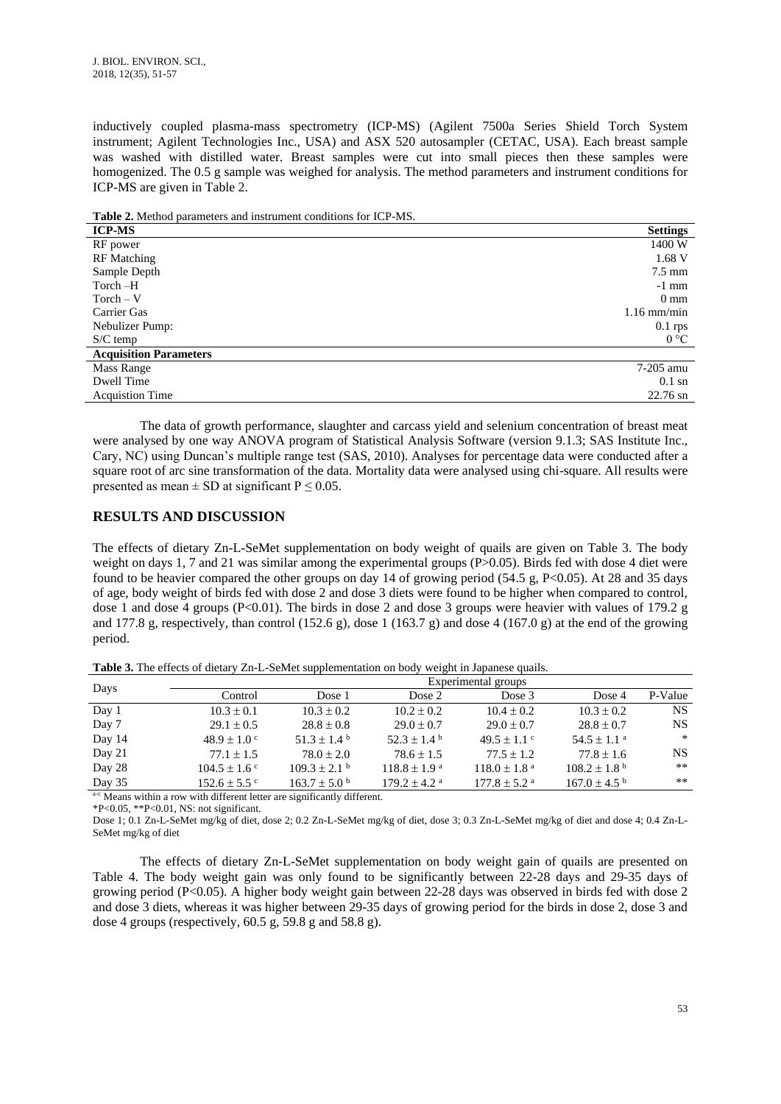inductively coupled plasma-mass spectrometry (ICP-MS) (Agilent 7500a Series Shield Torch System instrument; Agilent Technologies Inc., USA) and ASX 520 autosampler (CETAC, USA). Each breast sample was washed with distilled water. Breast samples were cut into small pieces then these samples were homogenized. The 0.5 g sample was weighed for analysis. The method parameters and instrument conditions for ICP-MS are given in Table 2.

**Table 2.** Method parameters and instrument conditions for ICP-MS.

| <b>ICP-MS</b>                 | <b>Settings</b>    |
|-------------------------------|--------------------|
| RF power                      | 1400 W             |
| <b>RF</b> Matching            | 1.68 V             |
| Sample Depth                  | $7.5 \text{ mm}$   |
| Torch -H                      | $-1$ mm            |
| $Torch - V$                   | $0 \text{ mm}$     |
| Carrier Gas                   | $1.16$ mm/min      |
| Nebulizer Pump:               | $0.1$ rps          |
| $S/C$ temp                    | $0^{\circ}C$       |
| <b>Acquisition Parameters</b> |                    |
| Mass Range                    | 7-205 amu          |
| Dwell Time                    | $0.1 \text{ sn}$   |
| <b>Acquistion Time</b>        | $22.76 \text{ sn}$ |

The data of growth performance, slaughter and carcass yield and selenium concentration of breast meat were analysed by one way ANOVA program of Statistical Analysis Software (version 9.1.3; SAS Institute Inc., Cary, NC) using Duncan's multiple range test (SAS, 2010). Analyses for percentage data were conducted after a square root of arc sine transformation of the data. Mortality data were analysed using chi-square. All results were presented as mean  $\pm$  SD at significant P  $\leq$  0.05.

### **RESULTS AND DISCUSSION**

The effects of dietary Zn-L-SeMet supplementation on body weight of quails are given on Table 3. The body weight on days 1, 7 and 21 was similar among the experimental groups (P>0.05). Birds fed with dose 4 diet were found to be heavier compared the other groups on day 14 of growing period (54.5 g,  $P \le 0.05$ ). At 28 and 35 days of age, body weight of birds fed with dose 2 and dose 3 diets were found to be higher when compared to control, dose 1 and dose 4 groups (P<0.01). The birds in dose 2 and dose 3 groups were heavier with values of 179.2 g and 177.8 g, respectively, than control (152.6 g), dose 1 (163.7 g) and dose 4 (167.0 g) at the end of the growing period.

**Table 3.** The effects of dietary Zn-L-SeMet supplementation on body weight in Japanese quails.

|        |                   |                         |                              | Experimental groups          |                              |         |
|--------|-------------------|-------------------------|------------------------------|------------------------------|------------------------------|---------|
| Days   | Control           | Dose 1                  | Dose 2                       | Dose 3                       | Dose 4                       | P-Value |
| Day 1  | $10.3 \pm 0.1$    | $10.3 \pm 0.2$          | $10.2 \pm 0.2$               | $10.4 \pm 0.2$               | $10.3 \pm 0.2$               | NS      |
| Day 7  | $29.1 \pm 0.5$    | $28.8 \pm 0.8$          | $29.0 \pm 0.7$               | $29.0 \pm 0.7$               | $28.8 \pm 0.7$               | NS.     |
| Day 14 | $48.9 \pm 1.0$ c  | $51.3 \pm 1.4^{\circ}$  | $52.3 \pm 1.4^{\circ}$       | $49.5 \pm 1.1$ c             | $54.5 \pm 1.1$ <sup>a</sup>  | $\ast$  |
| Day 21 | $77.1 \pm 1.5$    | $78.0 \pm 2.0$          | $78.6 \pm 1.5$               | $77.5 \pm 1.2$               | $77.8 \pm 1.6$               | NS.     |
| Day 28 | $104.5 \pm 1.6$ c | $109.3 \pm 2.1$ b       | $118.8 \pm 1.9^{\text{a}}$   | $118.0 \pm 1.8$ <sup>a</sup> | $108.2 \pm 1.8$ <sup>b</sup> | $***$   |
| Day 35 | $152.6 \pm 5.5$ ° | $163.7 \pm 5.0^{\circ}$ | $179.2 \pm 4.2$ <sup>a</sup> | $177.8 \pm 5.2$ <sup>a</sup> | $167.0 \pm 4.5$ <sup>b</sup> | $***$   |
|        |                   |                         |                              |                              |                              |         |

a-c Means within a row with different letter are significantly different.

\*P<0.05, \*\*P<0.01, NS: not significant.

Dose 1; 0.1 Zn-L-SeMet mg/kg of diet, dose 2; 0.2 Zn-L-SeMet mg/kg of diet, dose 3; 0.3 Zn-L-SeMet mg/kg of diet and dose 4; 0.4 Zn-L-SeMet mg/kg of diet

The effects of dietary Zn-L-SeMet supplementation on body weight gain of quails are presented on Table 4. The body weight gain was only found to be significantly between 22-28 days and 29-35 days of growing period (P<0.05). A higher body weight gain between 22-28 days was observed in birds fed with dose 2 and dose 3 diets, whereas it was higher between 29-35 days of growing period for the birds in dose 2, dose 3 and dose 4 groups (respectively,  $60.5$  g,  $59.8$  g and  $58.8$  g).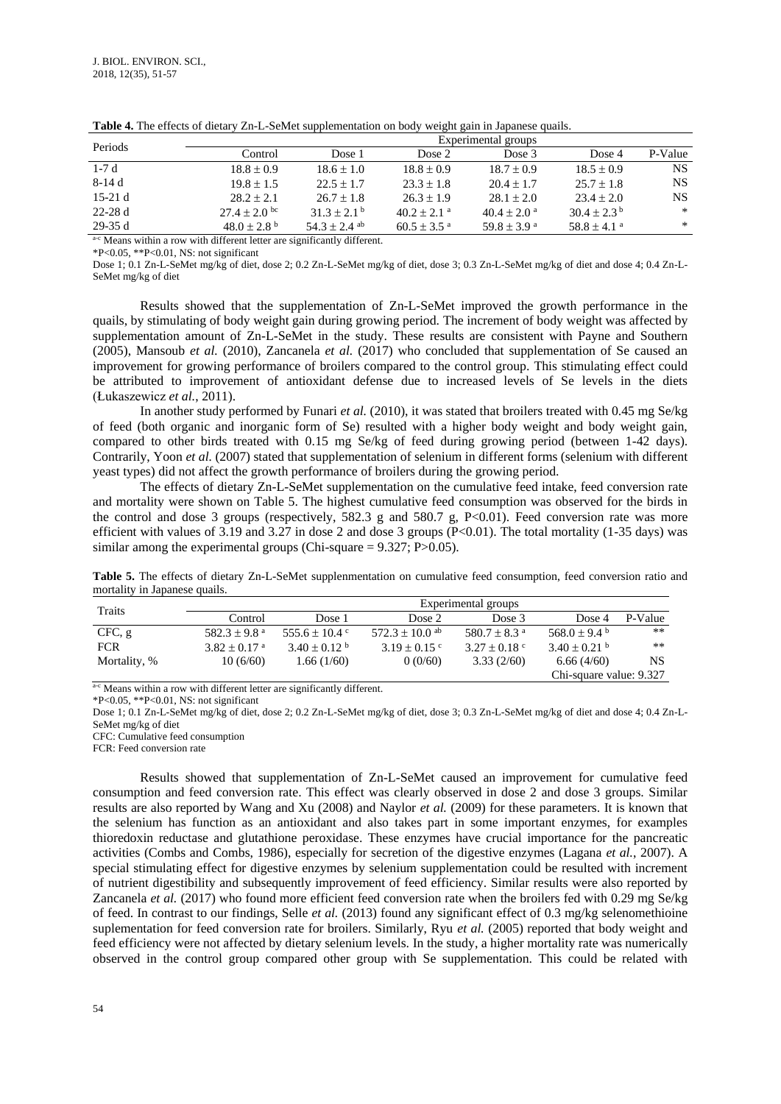| Periods                        | Experimental groups       |                           |                           |                             |                             |           |
|--------------------------------|---------------------------|---------------------------|---------------------------|-----------------------------|-----------------------------|-----------|
|                                | Control                   | Dose 1                    | Dose 2                    | Dose 3                      | Dose 4                      | P-Value   |
| $1-7d$                         | $18.8 \pm 0.9$            | $18.6 \pm 1.0$            | $18.8 \pm 0.9$            | $18.7 \pm 0.9$              | $18.5 \pm 0.9$              | NS.       |
| 8-14 d                         | $19.8 \pm 1.5$            | $22.5 \pm 1.7$            | $23.3 \pm 1.8$            | $20.4 + 1.7$                | $25.7 \pm 1.8$              | <b>NS</b> |
| $15-21d$                       | $28.2 + 2.1$              | $26.7 \pm 1.8$            | $26.3 \pm 1.9$            | $28.1 \pm 2.0$              | $23.4 \pm 2.0$              | NS.       |
| $22-28d$                       | $27.4 \pm 2.0$ bc         | $31.3 + 2.1^{\mathrm{b}}$ | $40.2 + 2.1$ <sup>a</sup> | $40.4 + 2.0$ <sup>a</sup>   | $30.4 + 2.3^{b}$            | $\ast$    |
| $29-35d$<br>$\sim$ $\sim$<br>. | $48.0 + 2.8$ <sup>b</sup> | $54.3 + 2.4$ ab           | $60.5 + 3.5$ <sup>a</sup> | $59.8 \pm 3.9$ <sup>a</sup> | $58.8 \pm 4.1$ <sup>a</sup> | $\ast$    |

**Table 4.** The effects of dietary Zn-L-SeMet supplementation on body weight gain in Japanese quails.

a-c Means within a row with different letter are significantly different.

\*P<0.05, \*\*P<0.01, NS: not significant

Dose 1; 0.1 Zn-L-SeMet mg/kg of diet, dose 2; 0.2 Zn-L-SeMet mg/kg of diet, dose 3; 0.3 Zn-L-SeMet mg/kg of diet and dose 4; 0.4 Zn-L-SeMet mg/kg of diet

Results showed that the supplementation of Zn-L-SeMet improved the growth performance in the quails, by stimulating of body weight gain during growing period. The increment of body weight was affected by supplementation amount of Zn-L-SeMet in the study. These results are consistent with Payne and Southern (2005), Mansoub *et al.* (2010), Zancanela *et al.* (2017) who concluded that supplementation of Se caused an improvement for growing performance of broilers compared to the control group. This stimulating effect could be attributed to improvement of antioxidant defense due to increased levels of Se levels in the diets (Łukaszewicz *et al.*, 2011).

In another study performed by Funari *et al.* (2010), it was stated that broilers treated with 0.45 mg Se/kg of feed (both organic and inorganic form of Se) resulted with a higher body weight and body weight gain, compared to other birds treated with 0.15 mg Se/kg of feed during growing period (between 1-42 days). Contrarily, Yoon *et al.* (2007) stated that supplementation of selenium in different forms (selenium with different yeast types) did not affect the growth performance of broilers during the growing period.

The effects of dietary Zn-L-SeMet supplementation on the cumulative feed intake, feed conversion rate and mortality were shown on Table 5. The highest cumulative feed consumption was observed for the birds in the control and dose 3 groups (respectively, 582.3 g and 580.7 g, P<0.01). Feed conversion rate was more efficient with values of 3.19 and 3.27 in dose 2 and dose 3 groups  $(P<0.01)$ . The total mortality (1-35 days) was similar among the experimental groups (Chi-square  $= 9.327$ ; P $> 0.05$ ).

**Table 5.** The effects of dietary Zn-L-SeMet supplenmentation on cumulative feed consumption, feed conversion ratio and mortality in Japanese quails.

| Traits       |                              | Experimental groups     |                     |                              |                              |         |  |
|--------------|------------------------------|-------------------------|---------------------|------------------------------|------------------------------|---------|--|
|              | Control                      | Dose 1                  | Dose 2              | Dose 3                       | Dose 4                       | P-Value |  |
| CFC, g       | 582.3 ± 9.8 $^{\rm a}$       | 555.6 $\pm$ 10.4 °      | $572.3 \pm 10.0$ ab | 580.7 $\pm$ 8.3 <sup>a</sup> | $568.0 \pm 9.4$ <sup>b</sup> | $***$   |  |
| <b>FCR</b>   | $3.82 \pm 0.17$ <sup>a</sup> | $3.40 \pm 0.12$ b       | $3.19 \pm 0.15$ c   | $3.27 \pm 0.18$ c            | $3.40 \pm 0.21$ b            | **      |  |
| Mortality, % | 10(6/60)                     | 1.66(1/60)              | 0(0/60)             | 3.33(2/60)                   | 6.66(4/60)                   | NS      |  |
|              |                              | Chi-square value: 9.327 |                     |                              |                              |         |  |

a-c Means within a row with different letter are significantly different.

\*P<0.05, \*\*P<0.01, NS: not significant

Dose 1; 0.1 Zn-L-SeMet mg/kg of diet, dose 2; 0.2 Zn-L-SeMet mg/kg of diet, dose 3; 0.3 Zn-L-SeMet mg/kg of diet and dose 4; 0.4 Zn-L-SeMet mg/kg of diet

CFC: Cumulative feed consumption

FCR: Feed conversion rate

Results showed that supplementation of Zn-L-SeMet caused an improvement for cumulative feed consumption and feed conversion rate. This effect was clearly observed in dose 2 and dose 3 groups. Similar results are also reported by Wang and Xu (2008) and Naylor *et al.* (2009) for these parameters. It is known that the selenium has function as an antioxidant and also takes part in some important enzymes, for examples thioredoxin reductase and glutathione peroxidase. These enzymes have crucial importance for the pancreatic activities (Combs and Combs, 1986), especially for secretion of the digestive enzymes (Lagana *et al.*, 2007). A special stimulating effect for digestive enzymes by selenium supplementation could be resulted with increment of nutrient digestibility and subsequently improvement of feed efficiency. Similar results were also reported by Zancanela *et al.* (2017) who found more efficient feed conversion rate when the broilers fed with 0.29 mg Se/kg of feed. In contrast to our findings, Selle *et al.* (2013) found any significant effect of 0.3 mg/kg selenomethioine suplementation for feed conversion rate for broilers. Similarly, Ryu *et al.* (2005) reported that body weight and feed efficiency were not affected by dietary selenium levels. In the study, a higher mortality rate was numerically observed in the control group compared other group with Se supplementation. This could be related with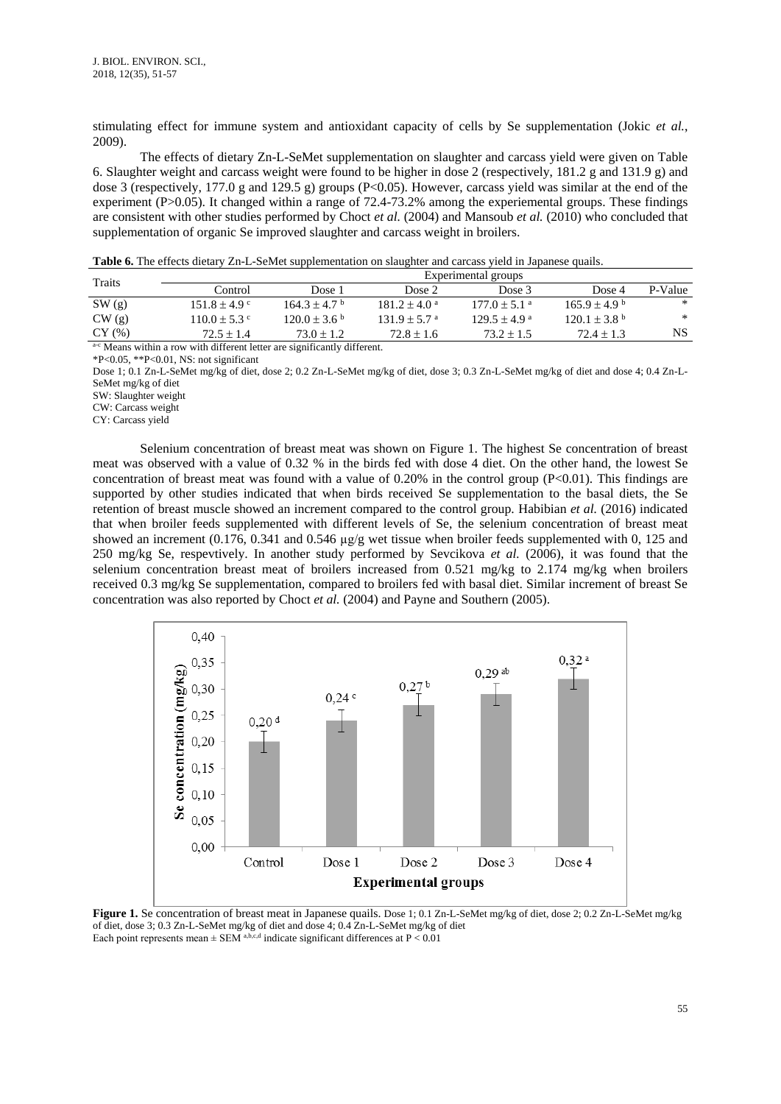stimulating effect for immune system and antioxidant capacity of cells by Se supplementation (Jokic *et al.*, 2009).

The effects of dietary Zn-L-SeMet supplementation on slaughter and carcass yield were given on Table 6. Slaughter weight and carcass weight were found to be higher in dose 2 (respectively, 181.2 g and 131.9 g) and dose 3 (respectively, 177.0 g and 129.5 g) groups (P<0.05). However, carcass yield was similar at the end of the experiment (P>0.05). It changed within a range of 72.4-73.2% among the experiemental groups. These findings are consistent with other studies performed by Choct *et al.* (2004) and Mansoub *et al.* (2010) who concluded that supplementation of organic Se improved slaughter and carcass weight in broilers.

**Table 6.** The effects dietary Zn-L-SeMet supplementation on slaughter and carcass yield in Japanese quails.

| Traits                                                                               |                   |                              |                            | Experimental groups        |                              |         |
|--------------------------------------------------------------------------------------|-------------------|------------------------------|----------------------------|----------------------------|------------------------------|---------|
|                                                                                      | Control           | Dose 1                       | Dose 2                     | Dose 3                     | Dose 4                       | P-Value |
| SW(g)                                                                                | $151.8 + 4.9$ c   | $164.3 + 4.7b$               | $181.2 + 4.0^{\circ}$      | $177.0 + 5.1$ <sup>a</sup> | $165.9 \pm 4.9^{\circ}$      | *       |
| CW(g)                                                                                | $110.0 \pm 5.3$ c | $120.0 \pm 3.6^{\mathrm{b}}$ | $131.9 + 5.7$ <sup>a</sup> | $129.5 + 4.9^{\circ}$      | $120.1 \pm 3.8$ <sup>b</sup> | $\ast$  |
| CY <sub>(%</sub> )                                                                   | $72.5 + 1.4$      | $73.0 + 1.2$                 | $72.8 + 1.6$               | $73.2 \pm 1.5$             | $72.4 \pm 1.3$               | NS.     |
| <sup>3-</sup> C Moone within a now with different latter are significantly different |                   |                              |                            |                            |                              |         |

Means within a row with different letter are significantly different.

\*P<0.05, \*\*P<0.01, NS: not significant

Dose 1; 0.1 Zn-L-SeMet mg/kg of diet, dose 2; 0.2 Zn-L-SeMet mg/kg of diet, dose 3; 0.3 Zn-L-SeMet mg/kg of diet and dose 4; 0.4 Zn-L-SeMet mg/kg of diet

SW: Slaughter weight

CW: Carcass weight

CY: Carcass yield

Selenium concentration of breast meat was shown on Figure 1. The highest Se concentration of breast meat was observed with a value of 0.32 % in the birds fed with dose 4 diet. On the other hand, the lowest Se concentration of breast meat was found with a value of 0.20% in the control group (P<0.01). This findings are supported by other studies indicated that when birds received Se supplementation to the basal diets, the Se retention of breast muscle showed an increment compared to the control group. Habibian *et al.* (2016) indicated that when broiler feeds supplemented with different levels of Se, the selenium concentration of breast meat showed an increment (0.176, 0.341 and 0.546  $\mu$ g/g wet tissue when broiler feeds supplemented with 0, 125 and 250 mg/kg Se, respevtively. In another study performed by Sevcikova *et al.* (2006), it was found that the selenium concentration breast meat of broilers increased from 0.521 mg/kg to 2.174 mg/kg when broilers received 0.3 mg/kg Se supplementation, compared to broilers fed with basal diet. Similar increment of breast Se concentration was also reported by Choct *et al.* (2004) and Payne and Southern (2005).



**Figure 1.** Se concentration of breast meat in Japanese quails. Dose 1; 0.1 Zn-L-SeMet mg/kg of diet, dose 2; 0.2 Zn-L-SeMet mg/kg of diet, dose 3; 0.3 Zn-L-SeMet mg/kg of diet and dose 4; 0.4 Zn-L-SeMet mg/kg of diet Each point represents mean  $\pm$  SEM a,b,c,d indicate significant differences at P < 0.01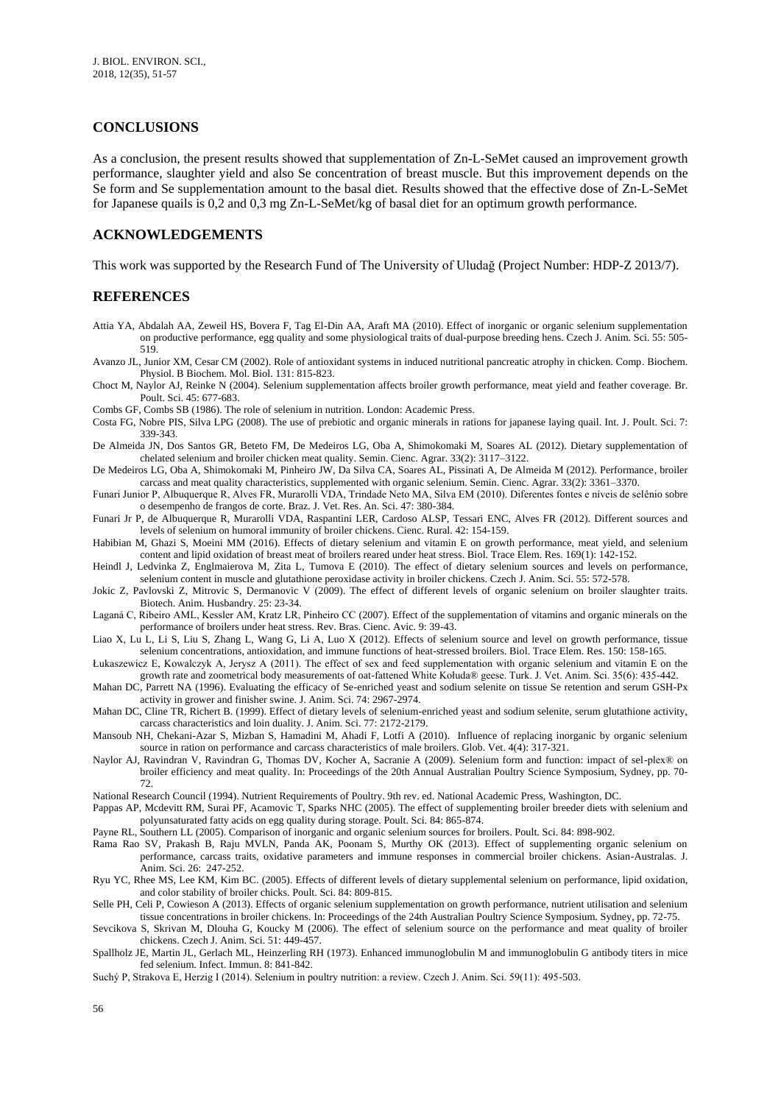### **CONCLUSIONS**

As a conclusion, the present results showed that supplementation of Zn-L-SeMet caused an improvement growth performance, slaughter yield and also Se concentration of breast muscle. But this improvement depends on the Se form and Se supplementation amount to the basal diet. Results showed that the effective dose of Zn-L-SeMet for Japanese quails is 0,2 and 0,3 mg Zn-L-SeMet/kg of basal diet for an optimum growth performance.

### **ACKNOWLEDGEMENTS**

This work was supported by the Research Fund of The University of Uludağ (Project Number: HDP-Z 2013/7).

### **REFERENCES**

- Attia YA, Abdalah AA, Zeweil HS, Bovera F, Tag El-Din AA, Araft MA (2010). Effect of inorganic or organic selenium supplementation on productive performance, egg quality and some physiological traits of dual-purpose breeding hens. Czech J. Anim. Sci. 55: 505- 519.
- Avanzo JL, Junior XM, Cesar CM (2002). Role of antioxidant systems in induced nutritional pancreatic atrophy in chicken. Comp. Biochem. Physiol. B Biochem. Mol. Biol. 131: 815-823.
- Choct M, Naylor AJ, Reinke N (2004). Selenium supplementation affects broiler growth performance, meat yield and feather coverage. Br. Poult. Sci. 45: 677-683.
- Combs GF, Combs SB (1986). The role of selenium in nutrition. London: Academic Press.
- Costa FG, Nobre PIS, Silva LPG (2008). The use of prebiotic and organic minerals in rations for japanese laying quail. Int. J. Poult. Sci. 7: 339-343.
- De Almeida JN, Dos Santos GR, Beteto FM, De Medeiros LG, Oba A, Shimokomaki M, Soares AL (2012). Dietary supplementation of chelated selenium and broiler chicken meat quality. Semin. Cienc. Agrar. 33(2): 3117–3122.
- De Medeiros LG, Oba A, Shimokomaki M, Pinheiro JW, Da Silva CA, Soares AL, Pissinati A, De Almeida M (2012). Performance, broiler carcass and meat quality characteristics, supplemented with organic selenium. Semin. Cienc. Agrar. 33(2): 3361–3370.
- Funari Junior P, Albuquerque R, Alves FR, Murarolli VDA, Trindade Neto MA, Silva EM (2010). Diferentes fontes e níveis de selênio sobre o desempenho de frangos de corte. Braz. J. Vet. Res. An. Sci. 47: 380-384.
- Funari Jr P, de Albuquerque R, Murarolli VDA, Raspantini LER, Cardoso ALSP, Tessari ENC, Alves FR (2012). Different sources and levels of selenium on humoral immunity of broiler chickens. Cienc. Rural. 42: 154-159.
- Habibian M, Ghazi S, Moeini MM (2016). Effects of dietary selenium and vitamin E on growth performance, meat yield, and selenium content and lipid oxidation of breast meat of broilers reared under heat stress. Biol. Trace Elem. Res. 169(1): 142-152.
- Heindl J, Ledvinka Z, Englmaierova M, Zita L, Tumova E (2010). The effect of dietary selenium sources and levels on performance, selenium content in muscle and glutathione peroxidase activity in broiler chickens. Czech J. Anim. Sci. 55: 572-578.
- Jokic Z, Pavlovski Z, Mitrovic S, Dermanovic V (2009). The effect of different levels of organic selenium on broiler slaughter traits. Biotech. Anim. Husbandry. 25: 23-34.
- Laganá C, Ribeiro AML, Kessler AM, Kratz LR, Pinheiro CC (2007). Effect of the supplementation of vitamins and organic minerals on the performance of broilers under heat stress. Rev. Bras. Cienc. Avic. 9: 39-43.
- Liao X, Lu L, Li S, Liu S, Zhang L, Wang G, Li A, Luo X (2012). Effects of selenium source and level on growth performance, tissue selenium concentrations, antioxidation, and immune functions of heat-stressed broilers. Biol. Trace Elem. Res. 150: 158-165.
- Łukaszewicz E, Kowalczyk A, Jerysz A (2011). The effect of sex and feed supplementation with organic selenium and vitamin E on the growth rate and zoometrical body measurements of oat-fattened White Kołuda® geese. Turk. J. Vet. Anim. Sci. 35(6): 435-442.
- Mahan DC, Parrett NA (1996). Evaluating the efficacy of Se-enriched yeast and sodium selenite on tissue Se retention and serum GSH-Px activity in grower and finisher swine. J. Anim. Sci. 74: 2967-2974.
- Mahan DC, Cline TR, Richert B. (1999). Effect of dietary levels of selenium-enriched yeast and sodium selenite, serum glutathione activity, carcass characteristics and loin duality. J. Anim. Sci. 77: 2172-2179.
- Mansoub NH, Chekani-Azar S, Mizban S, Hamadini M, Ahadi F, Lotfi A (2010). Influence of replacing inorganic by organic selenium source in ration on performance and carcass characteristics of male broilers. Glob. Vet. 4(4): 317-321.
- Naylor AJ, Ravindran V, Ravindran G, Thomas DV, Kocher A, Sacranie A (2009). Selenium form and function: impact of sel-plex® on broiler efficiency and meat quality. In: Proceedings of the 20th Annual Australian Poultry Science Symposium, Sydney, pp. 70- 72.
- National Research Council (1994). Nutrient Requirements of Poultry. 9th rev. ed. National Academic Press, Washington, DC.
- Pappas AP, Mcdevitt RM, Surai PF, Acamovic T, Sparks NHC (2005). The effect of supplementing broiler breeder diets with selenium and polyunsaturated fatty acids on egg quality during storage. Poult. Sci. 84: 865-874.

Payne RL, Southern LL (2005). Comparison of inorganic and organic selenium sources for broilers. Poult. Sci. 84: 898-902.

- Rama Rao SV, Prakash B, Raju MVLN, Panda AK, Poonam S, Murthy OK (2013). Effect of supplementing organic selenium on performance, carcass traits, oxidative parameters and immune responses in commercial broiler chickens. Asian-Australas. J. Anim. Sci. 26: 247-252.
- Ryu YC, Rhee MS, Lee KM, Kim BC. (2005). Effects of different levels of dietary supplemental selenium on performance, lipid oxidation, and color stability of broiler chicks. Poult. Sci. 84: 809-815.
- Selle PH, Celi P, Cowieson A (2013). Effects of organic selenium supplementation on growth performance, nutrient utilisation and selenium tissue concentrations in broiler chickens. In: Proceedings of the 24th Australian Poultry Science Symposium. Sydney, pp. 72-75.

Sevcikova S, Skrivan M, Dlouha G, Koucky M (2006). The effect of selenium source on the performance and meat quality of broiler chickens. Czech J. Anim. Sci. 51: 449-457.

- Spallholz JE, Martin JL, Gerlach ML, Heinzerling RH (1973). Enhanced immunoglobulin M and immunoglobulin G antibody titers in mice fed selenium. Infect. Immun. 8: 841-842.
- Suchý P, Strakova E, Herzig I (2014). Selenium in poultry nutrition: a review. Czech J. Anim. Sci. 59(11): 495-503.